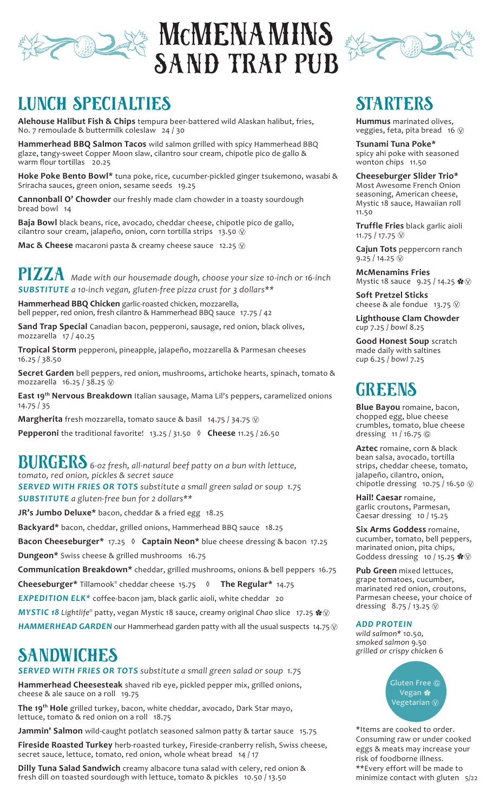

# DAS MCMENAMINS SAND TRAP PUB



### LUNCH SPECIALTIES

**Alehouse Halibut Fish & Chips** tempura beer-battered wild Alaskan halibut, fries, No. 7 remoulade & buttermilk coleslaw 24 / 30

**Hammerhead BBQ Salmon Tacos** wild salmon grilled with spicy Hammerhead BBQ glaze, tangy-sweet Copper Moon slaw, cilantro sour cream, chipotle pico de gallo & warm flour tortillas 20.25

**Hoke Poke Bento Bowl\*** tuna poke, rice, cucumber-pickled ginger tsukemono, wasabi & Sriracha sauces, green onion, sesame seeds 19.25

**Cannonball O' Chowder** our freshly made clam chowder in a toasty sourdough bread bowl 14

**Baja Bowl** black beans, rice, avocado, cheddar cheese, chipotle pico de gallo, cilantro sour cream, jalapeño, onion, corn tortilla strips 13.50  $\circledR$ 

**Mac & Cheese** macaroni pasta & creamy cheese sauce 12.25  $\circledR$ 

PIZZA *Made with our housemade dough, choose your size 10-inch or 16-inch SUBSTITUTE a 10-inch vegan, gluten-free pizza crust for 3 dollars\*\**

**Hammerhead BBQ Chicken** garlic-roasted chicken, mozzarella, bell pepper, red onion, fresh cilantro & Hammerhead BBQ sauce 17.75 / 42

**Sand Trap Special** Canadian bacon, pepperoni, sausage, red onion, black olives, mozzarella 17 / 40.25

**Tropical Storm** pepperoni, pineapple, jalapeño, mozzarella & Parmesan cheeses 16.25 / 38.50

**Secret Garden** bell peppers, red onion, mushrooms, artichoke hearts, spinach, tomato & mozzarella 16.25 / 38.25  $\circledR$ 

**East 19th Nervous Breakdown** Italian sausage, Mama Lil's peppers, caramelized onions 14.75 / 35

**Margherita** fresh mozzarella, tomato sauce & basil 14.75 / 34.75 Ⓥ

**Pepperoni** the traditional favorite! 13.25 / 31.50 **◊ Cheese** 11.25 / 26.50

BURGERS *6-oz fresh, all-natural beef patty on a bun with lettuce, tomato, red onion, pickles & secret sauce SERVED WITH FRIES OR TOTS substitute a small green salad or soup 1.75 SUBSTITUTE a gluten-free bun for 2 dollars\*\**

**JR's Jumbo Deluxe\*** bacon, cheddar & a fried egg 18.25

**Backyard\*** bacon, cheddar, grilled onions, Hammerhead BBQ sauce 18.25

**Bacon Cheeseburger\*** 17.25 **◊ Captain Neon\*** blue cheese dressing & bacon 17.25 **Dungeon\*** Swiss cheese & grilled mushrooms 16.75

**Communication Breakdown\*** cheddar, grilled mushrooms, onions & bell peppers 16.75

**Cheeseburger\*** Tillamook® cheddar cheese 15.75 **◊ The Regular\*** 14.75

**EXPEDITION ELK\*** coffee-bacon jam, black garlic aioli, white cheddar 20

*MYSTIC 18 Lightlife®* patty, vegan Mystic 18 sauce, creamy original *Chao* slice 17.25 ✿Ⓥ

**HAMMERHEAD GARDEN** our Hammerhead garden patty with all the usual suspects 14.75  $\heartsuit$ 

## **SANDWICHES**

*SERVED WITH FRIES OR TOTS substitute a small green salad or soup 1.75*

**Hammerhead Cheesesteak** shaved rib eye, pickled pepper mix, grilled onions, cheese & ale sauce on a roll 19.75

**The 19th Hole** grilled turkey, bacon, white cheddar, avocado, Dark Star mayo, lettuce, tomato & red onion on a roll 18.75

**Jammin' Salmon** wild-caught potlatch seasoned salmon patty & tartar sauce 15.75

**Fireside Roasted Turkey** herb-roasted turkey, Fireside-cranberry relish, Swiss cheese, secret sauce, lettuce, tomato, red onion, whole wheat bread 14 / 17

**Dilly Tuna Salad Sandwich** creamy albacore tuna salad with celery, red onion & fresh dill on toasted sourdough with lettuce, tomato & pickles 10.50 / 13.50

### **STARTERS**

**Hummus** marinated olives, veggies, feta, pita bread 16  $\circledR$ 

**Tsunami Tuna Poke\***  spicy ahi poke with seasoned wonton chips 11.50

**Cheeseburger Slider Trio\***  Most Awesome French Onion seasoning, American cheese, Mystic 18 sauce, Hawaiian roll 11.50

**Truffle Fries** black garlic aioli 11.75 / 17.75 Ⓥ

**Cajun Tots** peppercorn ranch  $9.25 / 14.25 \circledcirc$ 

**McMenamins Fries**  Mystic 18 sauce 9.25 / 14.25  $\cdot$   $\cdot$   $\odot$ 

**Soft Pretzel Sticks**  cheese & ale fondue  $13.75 \text{ W}$ 

**Lighthouse Clam Chowder**  *cup* 7.25 / *bowl* 8.25

**Good Honest Soup** scratch made daily with saltines *cup* 6.25 / *bowl* 7.25

### GREENS

**Blue Bayou** romaine, bacon, chopped egg, blue cheese crumbles, tomato, blue cheese dressing 11 / 16.75 <sup>©</sup>

**Aztec** romaine, corn & black bean salsa, avocado, tortilla strips, cheddar cheese, tomato, jalapeño, cilantro, onion, chipotle dressing 10.75 / 16.50  $\circledR$ 

**Hail! Caesar** romaine, garlic croutons, Parmesan, Caesar dressing 10 / 15.25

**Six Arms Goddess** romaine, cucumber, tomato, bell peppers, marinated onion, pita chips, Goddess dressing 10 / 15.25  $\clubsuit \circledR$ 

**Pub Green** mixed lettuces, grape tomatoes, cucumber, marinated red onion, croutons, Parmesan cheese, your choice of dressing  $8.75 / 13.25 \circledcirc$ 

#### *ADD PROTEIN*

*wild salmon\** 10.50*, smoked salmon* 9.50 *grilled or crispy chicken* 6

> Gluten Free © Vegan **※** Vegetarian  $@$

\*Items are cooked to order. Consuming raw or under cooked eggs & meats may increase your risk of foodborne illness. \*\*Every effort will be made to minimize contact with gluten 5/22